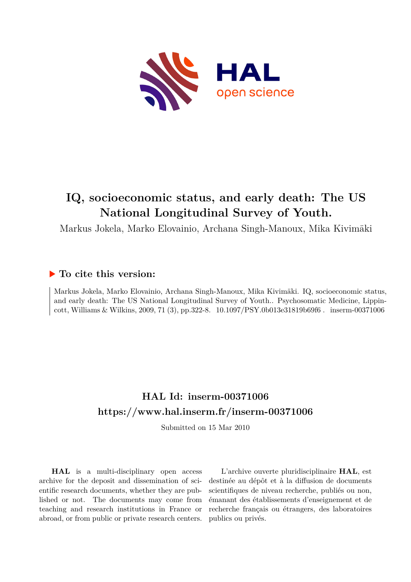

## **IQ, socioeconomic status, and early death: The US National Longitudinal Survey of Youth.**

Markus Jokela, Marko Elovainio, Archana Singh-Manoux, Mika Kivimäki

### **To cite this version:**

Markus Jokela, Marko Elovainio, Archana Singh-Manoux, Mika Kivimäki. IQ, socioeconomic status, and early death: The US National Longitudinal Survey of Youth.. Psychosomatic Medicine, Lippincott, Williams & Wilkins, 2009, 71 (3), pp.322-8. 10.1097/PSY.0b013e31819b69f6. inserm-00371006

## **HAL Id: inserm-00371006 <https://www.hal.inserm.fr/inserm-00371006>**

Submitted on 15 Mar 2010

**HAL** is a multi-disciplinary open access archive for the deposit and dissemination of scientific research documents, whether they are published or not. The documents may come from teaching and research institutions in France or abroad, or from public or private research centers.

L'archive ouverte pluridisciplinaire **HAL**, est destinée au dépôt et à la diffusion de documents scientifiques de niveau recherche, publiés ou non, émanant des établissements d'enseignement et de recherche français ou étrangers, des laboratoires publics ou privés.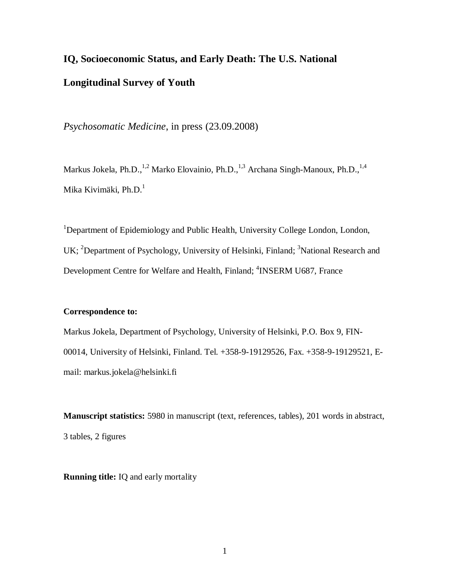# **IQ, Socioeconomic Status, and Early Death: The U.S. National Longitudinal Survey of Youth**

*Psychosomatic Medicine*, in press (23.09.2008)

Markus Jokela, Ph.D.,<sup>1,2</sup> Marko Elovainio, Ph.D.,<sup>1,3</sup> Archana Singh-Manoux, Ph.D.,<sup>1,4</sup> Mika Kivimäki, Ph.D.<sup>1</sup>

<sup>1</sup>Department of Epidemiology and Public Health, University College London, London, UK; <sup>2</sup>Department of Psychology, University of Helsinki, Finland; <sup>3</sup>National Research and Development Centre for Welfare and Health, Finland; <sup>4</sup>INSERM U687, France

#### **Correspondence to:**

Markus Jokela, Department of Psychology, University of Helsinki, P.O. Box 9, FIN-00014, University of Helsinki, Finland. Tel. +358-9-19129526, Fax. +358-9-19129521, Email: [markus.jokela@helsinki.fi](mailto:markus.jokela@helsinki.fi)

**Manuscript statistics:** 5980 in manuscript (text, references, tables), 201 words in abstract, 3 tables, 2 figures

**Running title:** IQ and early mortality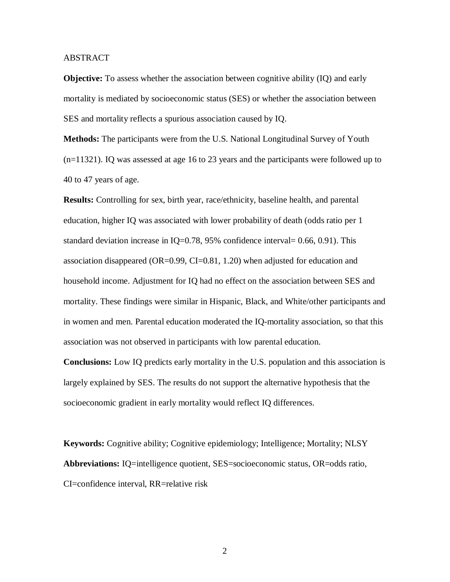#### ABSTRACT

**Objective:** To assess whether the association between cognitive ability (IQ) and early mortality is mediated by socioeconomic status (SES) or whether the association between SES and mortality reflects a spurious association caused by IQ.

**Methods:** The participants were from the U.S. National Longitudinal Survey of Youth (n=11321). IQ was assessed at age 16 to 23 years and the participants were followed up to 40 to 47 years of age.

**Results:** Controlling for sex, birth year, race/ethnicity, baseline health, and parental education, higher IQ was associated with lower probability of death (odds ratio per 1 standard deviation increase in IQ=0.78, 95% confidence interval=  $0.66, 0.91$ ). This association disappeared (OR=0.99, CI=0.81, 1.20) when adjusted for education and household income. Adjustment for IQ had no effect on the association between SES and mortality. These findings were similar in Hispanic, Black, and White/other participants and in women and men. Parental education moderated the IQ-mortality association, so that this association was not observed in participants with low parental education.

**Conclusions:** Low IQ predicts early mortality in the U.S. population and this association is largely explained by SES. The results do not support the alternative hypothesis that the socioeconomic gradient in early mortality would reflect IQ differences.

**Keywords:** Cognitive ability; Cognitive epidemiology; Intelligence; Mortality; NLSY **Abbreviations:** IQ=intelligence quotient, SES=socioeconomic status, OR=odds ratio, CI=confidence interval, RR=relative risk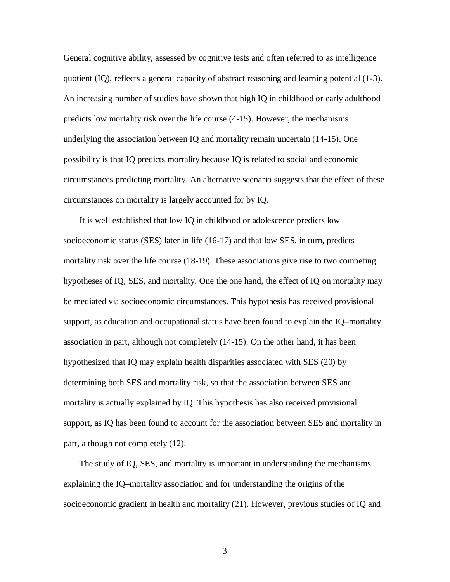General cognitive ability, assessed by cognitive tests and often referred to as intelligence quotient (IQ), reflects a general capacity of abstract reasoning and learning potential (1-3). An increasing number of studies have shown that high IQ in childhood or early adulthood predicts low mortality risk over the life course (4-15). However, the mechanisms underlying the association between IQ and mortality remain uncertain (14-15). One possibility is that IQ predicts mortality because IQ is related to social and economic circumstances predicting mortality. An alternative scenario suggests that the effect of these circumstances on mortality is largely accounted for by IQ.

It is well established that low IQ in childhood or adolescence predicts low socioeconomic status (SES) later in life (16-17) and that low SES, in turn, predicts mortality risk over the life course (18-19). These associations give rise to two competing hypotheses of IQ, SES, and mortality. One the one hand, the effect of IQ on mortality may be mediated via socioeconomic circumstances. This hypothesis has received provisional support, as education and occupational status have been found to explain the IQ–mortality association in part, although not completely (14-15). On the other hand, it has been hypothesized that IQ may explain health disparities associated with SES (20) by determining both SES and mortality risk, so that the association between SES and mortality is actually explained by IQ. This hypothesis has also received provisional support, as IQ has been found to account for the association between SES and mortality in part, although not completely (12).

The study of IQ, SES, and mortality is important in understanding the mechanisms explaining the IQ–mortality association and for understanding the origins of the socioeconomic gradient in health and mortality (21). However, previous studies of IQ and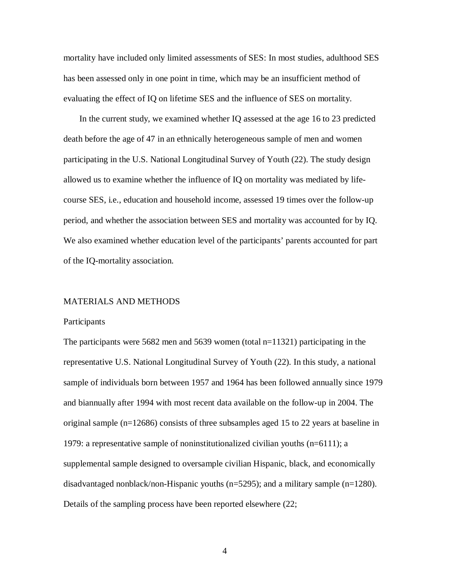mortality have included only limited assessments of SES: In most studies, adulthood SES has been assessed only in one point in time, which may be an insufficient method of evaluating the effect of IQ on lifetime SES and the influence of SES on mortality.

In the current study, we examined whether IQ assessed at the age 16 to 23 predicted death before the age of 47 in an ethnically heterogeneous sample of men and women participating in the U.S. National Longitudinal Survey of Youth (22). The study design allowed us to examine whether the influence of IQ on mortality was mediated by lifecourse SES, i.e., education and household income, assessed 19 times over the follow-up period, and whether the association between SES and mortality was accounted for by IQ. We also examined whether education level of the participants' parents accounted for part of the IQ-mortality association.

#### MATERIALS AND METHODS

#### Participants

The participants were 5682 men and 5639 women (total n=11321) participating in the representative U.S. National Longitudinal Survey of Youth (22). In this study, a national sample of individuals born between 1957 and 1964 has been followed annually since 1979 and biannually after 1994 with most recent data available on the follow-up in 2004. The original sample (n=12686) consists of three subsamples aged 15 to 22 years at baseline in 1979: a representative sample of noninstitutionalized civilian youths (n=6111); a supplemental sample designed to oversample civilian Hispanic, black, and economically disadvantaged nonblack/non-Hispanic youths (n=5295); and a military sample (n=1280). Details of the sampling process have been reported elsewhere (22;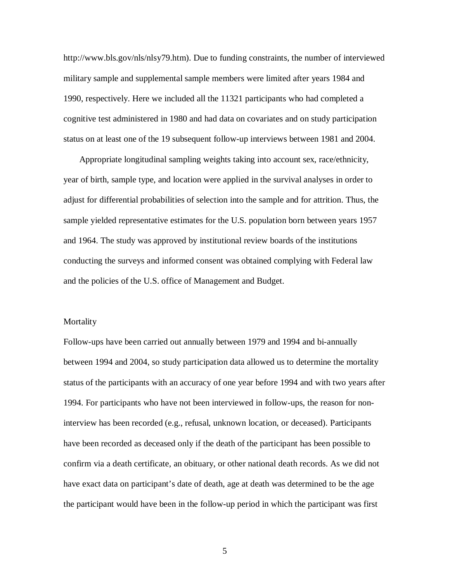[http://www.bls.gov/nls/nlsy79.htm\).](http://www.bls.gov/nls/nlsy79.htm).) Due to funding constraints, the number of interviewed military sample and supplemental sample members were limited after years 1984 and 1990, respectively. Here we included all the 11321 participants who had completed a cognitive test administered in 1980 and had data on covariates and on study participation status on at least one of the 19 subsequent follow-up interviews between 1981 and 2004.

Appropriate longitudinal sampling weights taking into account sex, race/ethnicity, year of birth, sample type, and location were applied in the survival analyses in order to adjust for differential probabilities of selection into the sample and for attrition. Thus, the sample yielded representative estimates for the U.S. population born between years 1957 and 1964. The study was approved by institutional review boards of the institutions conducting the surveys and informed consent was obtained complying with Federal law and the policies of the U.S. office of Management and Budget.

#### Mortality

Follow-ups have been carried out annually between 1979 and 1994 and bi-annually between 1994 and 2004, so study participation data allowed us to determine the mortality status of the participants with an accuracy of one year before 1994 and with two years after 1994. For participants who have not been interviewed in follow-ups, the reason for noninterview has been recorded (e.g., refusal, unknown location, or deceased). Participants have been recorded as deceased only if the death of the participant has been possible to confirm via a death certificate, an obituary, or other national death records. As we did not have exact data on participant's date of death, age at death was determined to be the age the participant would have been in the follow-up period in which the participant was first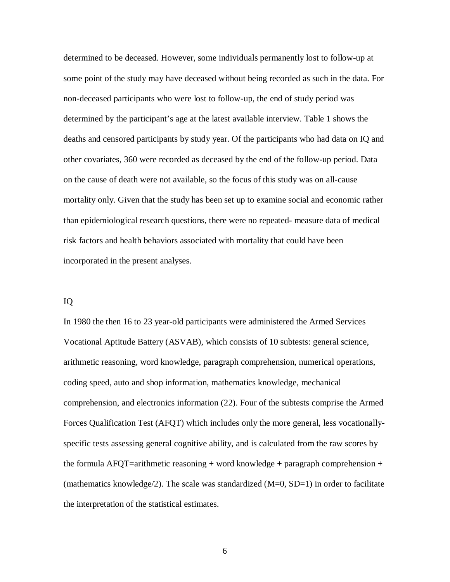determined to be deceased. However, some individuals permanently lost to follow-up at some point of the study may have deceased without being recorded as such in the data. For non-deceased participants who were lost to follow-up, the end of study period was determined by the participant's age at the latest available interview. Table 1 shows the deaths and censored participants by study year. Of the participants who had data on IQ and other covariates, 360 were recorded as deceased by the end of the follow-up period. Data on the cause of death were not available, so the focus of this study was on all-cause mortality only. Given that the study has been set up to examine social and economic rather than epidemiological research questions, there were no repeated- measure data of medical risk factors and health behaviors associated with mortality that could have been incorporated in the present analyses.

#### IQ

In 1980 the then 16 to 23 year-old participants were administered the Armed Services Vocational Aptitude Battery (ASVAB), which consists of 10 subtests: general science, arithmetic reasoning, word knowledge, paragraph comprehension, numerical operations, coding speed, auto and shop information, mathematics knowledge, mechanical comprehension, and electronics information (22). Four of the subtests comprise the Armed Forces Qualification Test (AFQT) which includes only the more general, less vocationallyspecific tests assessing general cognitive ability, and is calculated from the raw scores by the formula AFQT=arithmetic reasoning  $+$  word knowledge  $+$  paragraph comprehension  $+$ (mathematics knowledge/2). The scale was standardized  $(M=0, SD=1)$  in order to facilitate the interpretation of the statistical estimates.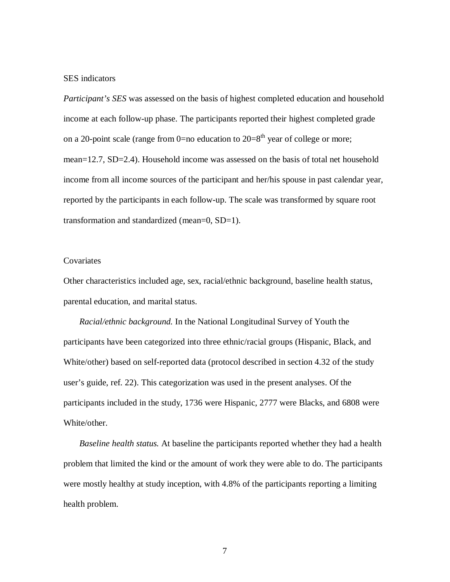#### SES indicators

*Participant's SES* was assessed on the basis of highest completed education and household income at each follow-up phase. The participants reported their highest completed grade on a 20-point scale (range from 0=no education to  $20=8<sup>th</sup>$  year of college or more; mean=12.7, SD=2.4). Household income was assessed on the basis of total net household income from all income sources of the participant and her/his spouse in past calendar year, reported by the participants in each follow-up. The scale was transformed by square root transformation and standardized (mean=0, SD=1).

#### **Covariates**

Other characteristics included age, sex, racial/ethnic background, baseline health status, parental education, and marital status.

*Racial/ethnic background.* In the National Longitudinal Survey of Youth the participants have been categorized into three ethnic/racial groups (Hispanic, Black, and White/other) based on self-reported data (protocol described in section 4.32 of the study user's guide, ref. 22). This categorization was used in the present analyses. Of the participants included in the study, 1736 were Hispanic, 2777 were Blacks, and 6808 were White/other.

*Baseline health status.* At baseline the participants reported whether they had a health problem that limited the kind or the amount of work they were able to do. The participants were mostly healthy at study inception, with 4.8% of the participants reporting a limiting health problem.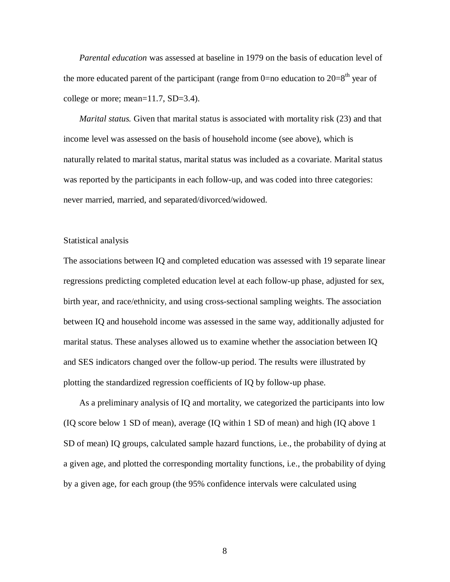*Parental education* was assessed at baseline in 1979 on the basis of education level of the more educated parent of the participant (range from 0=no education to  $20=8<sup>th</sup>$  year of college or more; mean=11.7, SD=3.4).

*Marital status.* Given that marital status is associated with mortality risk (23) and that income level was assessed on the basis of household income (see above), which is naturally related to marital status, marital status was included as a covariate. Marital status was reported by the participants in each follow-up, and was coded into three categories: never married, married, and separated/divorced/widowed.

#### Statistical analysis

The associations between IQ and completed education was assessed with 19 separate linear regressions predicting completed education level at each follow-up phase, adjusted for sex, birth year, and race/ethnicity, and using cross-sectional sampling weights. The association between IQ and household income was assessed in the same way, additionally adjusted for marital status. These analyses allowed us to examine whether the association between IQ and SES indicators changed over the follow-up period. The results were illustrated by plotting the standardized regression coefficients of IQ by follow-up phase.

As a preliminary analysis of IQ and mortality, we categorized the participants into low (IQ score below 1 SD of mean), average (IQ within 1 SD of mean) and high (IQ above 1 SD of mean) IQ groups, calculated sample hazard functions, i.e., the probability of dying at a given age, and plotted the corresponding mortality functions, i.e., the probability of dying by a given age, for each group (the 95% confidence intervals were calculated using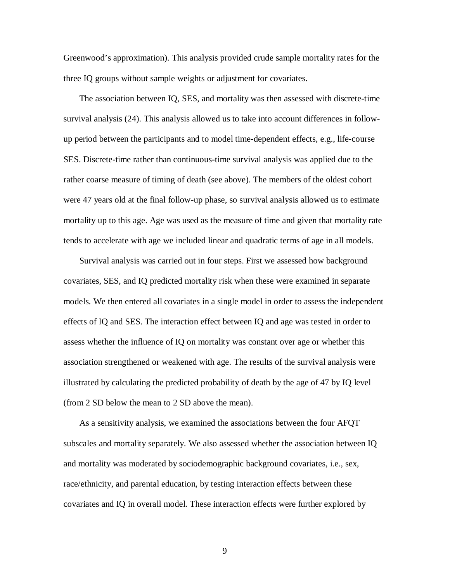Greenwood's approximation). This analysis provided crude sample mortality rates for the three IQ groups without sample weights or adjustment for covariates.

The association between IQ, SES, and mortality was then assessed with discrete-time survival analysis (24). This analysis allowed us to take into account differences in followup period between the participants and to model time-dependent effects, e.g., life-course SES. Discrete-time rather than continuous-time survival analysis was applied due to the rather coarse measure of timing of death (see above). The members of the oldest cohort were 47 years old at the final follow-up phase, so survival analysis allowed us to estimate mortality up to this age. Age was used as the measure of time and given that mortality rate tends to accelerate with age we included linear and quadratic terms of age in all models.

Survival analysis was carried out in four steps. First we assessed how background covariates, SES, and IQ predicted mortality risk when these were examined in separate models. We then entered all covariates in a single model in order to assess the independent effects of IQ and SES. The interaction effect between IQ and age was tested in order to assess whether the influence of IQ on mortality was constant over age or whether this association strengthened or weakened with age. The results of the survival analysis were illustrated by calculating the predicted probability of death by the age of 47 by IQ level (from 2 SD below the mean to 2 SD above the mean).

As a sensitivity analysis, we examined the associations between the four AFQT subscales and mortality separately. We also assessed whether the association between IQ and mortality was moderated by sociodemographic background covariates, i.e., sex, race/ethnicity, and parental education, by testing interaction effects between these covariates and IQ in overall model. These interaction effects were further explored by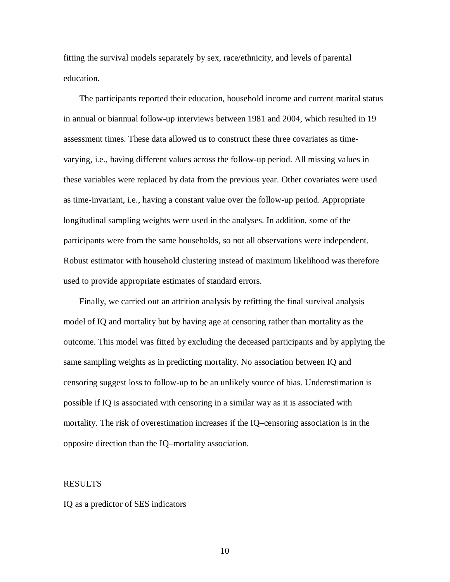fitting the survival models separately by sex, race/ethnicity, and levels of parental education.

The participants reported their education, household income and current marital status in annual or biannual follow-up interviews between 1981 and 2004, which resulted in 19 assessment times. These data allowed us to construct these three covariates as timevarying, i.e., having different values across the follow-up period. All missing values in these variables were replaced by data from the previous year. Other covariates were used as time-invariant, i.e., having a constant value over the follow-up period. Appropriate longitudinal sampling weights were used in the analyses. In addition, some of the participants were from the same households, so not all observations were independent. Robust estimator with household clustering instead of maximum likelihood was therefore used to provide appropriate estimates of standard errors.

Finally, we carried out an attrition analysis by refitting the final survival analysis model of IQ and mortality but by having age at censoring rather than mortality as the outcome. This model was fitted by excluding the deceased participants and by applying the same sampling weights as in predicting mortality. No association between IQ and censoring suggest loss to follow-up to be an unlikely source of bias. Underestimation is possible if IQ is associated with censoring in a similar way as it is associated with mortality. The risk of overestimation increases if the IQ–censoring association is in the opposite direction than the IQ–mortality association.

#### RESULTS

#### IQ as a predictor of SES indicators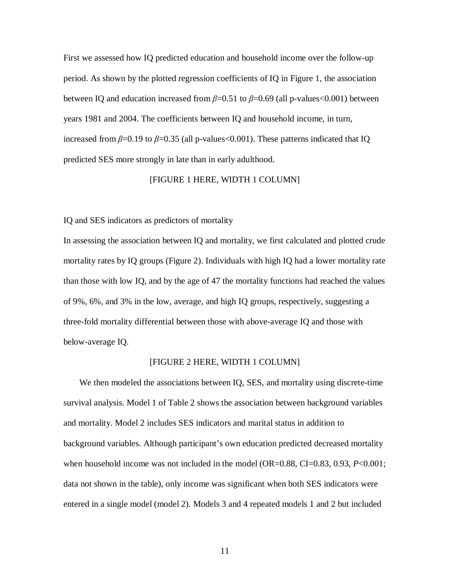First we assessed how IQ predicted education and household income over the follow-up period. As shown by the plotted regression coefficients of IQ in Figure 1, the association between IQ and education increased from  $\beta$ =0.51 to  $\beta$ =0.69 (all p-values<0.001) between years 1981 and 2004. The coefficients between IQ and household income, in turn, increased from  $\beta$ =0.19 to  $\beta$ =0.35 (all p-values <0.001). These patterns indicated that IQ predicted SES more strongly in late than in early adulthood.

#### [FIGURE 1 HERE, WIDTH 1 COLUMN]

IQ and SES indicators as predictors of mortality

In assessing the association between IQ and mortality, we first calculated and plotted crude mortality rates by IQ groups (Figure 2). Individuals with high IQ had a lower mortality rate than those with low IQ, and by the age of 47 the mortality functions had reached the values of 9%, 6%, and 3% in the low, average, and high IQ groups, respectively, suggesting a three-fold mortality differential between those with above-average IQ and those with below-average IQ.

#### [FIGURE 2 HERE, WIDTH 1 COLUMN]

We then modeled the associations between IQ, SES, and mortality using discrete-time survival analysis. Model 1 of Table 2 shows the association between background variables and mortality. Model 2 includes SES indicators and marital status in addition to background variables. Although participant's own education predicted decreased mortality when household income was not included in the model (OR=0.88, CI=0.83, 0.93, *P*<0.001; data not shown in the table), only income was significant when both SES indicators were entered in a single model (model 2). Models 3 and 4 repeated models 1 and 2 but included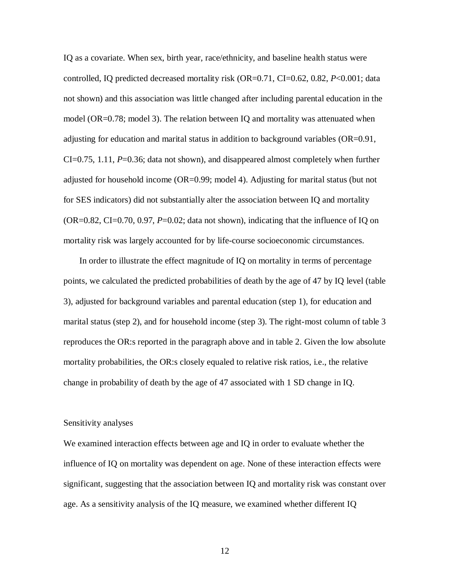IQ as a covariate. When sex, birth year, race/ethnicity, and baseline health status were controlled, IQ predicted decreased mortality risk (OR=0.71, CI=0.62, 0.82, *P*<0.001; data not shown) and this association was little changed after including parental education in the model (OR=0.78; model 3). The relation between IQ and mortality was attenuated when adjusting for education and marital status in addition to background variables (OR=0.91, CI=0.75, 1.11, *P*=0.36; data not shown), and disappeared almost completely when further adjusted for household income (OR=0.99; model 4). Adjusting for marital status (but not for SES indicators) did not substantially alter the association between IQ and mortality  $(OR=0.82, CI=0.70, 0.97, P=0.02; data not shown)$ , indicating that the influence of IQ on mortality risk was largely accounted for by life-course socioeconomic circumstances.

In order to illustrate the effect magnitude of IQ on mortality in terms of percentage points, we calculated the predicted probabilities of death by the age of 47 by IQ level (table 3), adjusted for background variables and parental education (step 1), for education and marital status (step 2), and for household income (step 3). The right-most column of table 3 reproduces the OR:s reported in the paragraph above and in table 2. Given the low absolute mortality probabilities, the OR:s closely equaled to relative risk ratios, i.e., the relative change in probability of death by the age of 47 associated with 1 SD change in IQ.

#### Sensitivity analyses

We examined interaction effects between age and IQ in order to evaluate whether the influence of IQ on mortality was dependent on age. None of these interaction effects were significant, suggesting that the association between IQ and mortality risk was constant over age. As a sensitivity analysis of the IQ measure, we examined whether different IQ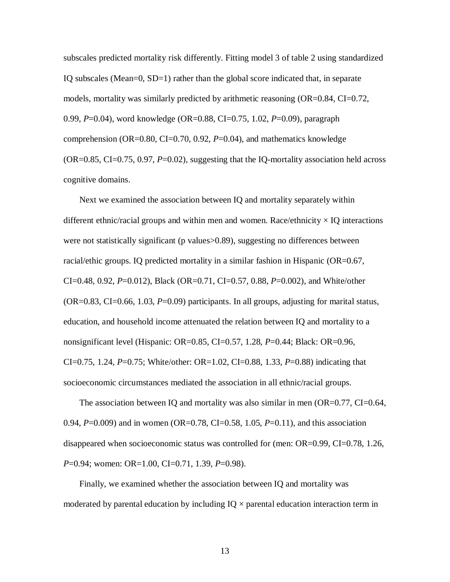subscales predicted mortality risk differently. Fitting model 3 of table 2 using standardized IQ subscales (Mean=0, SD=1) rather than the global score indicated that, in separate models, mortality was similarly predicted by arithmetic reasoning  $(OR=0.84, CI=0.72,$ 0.99, *P*=0.04), word knowledge (OR=0.88, CI=0.75, 1.02, *P*=0.09), paragraph comprehension (OR=0.80, CI=0.70, 0.92, *P*=0.04), and mathematics knowledge (OR=0.85, CI=0.75, 0.97, *P*=0.02), suggesting that the IQ-mortality association held across cognitive domains.

Next we examined the association between IQ and mortality separately within different ethnic/racial groups and within men and women. Race/ethnicity  $\times$  IQ interactions were not statistically significant (p values>0.89), suggesting no differences between racial/ethic groups. IQ predicted mortality in a similar fashion in Hispanic (OR=0.67, CI=0.48, 0.92, *P*=0.012), Black (OR=0.71, CI=0.57, 0.88, *P*=0.002), and White/other (OR=0.83, CI=0.66, 1.03, *P*=0.09) participants. In all groups, adjusting for marital status, education, and household income attenuated the relation between IQ and mortality to a nonsignificant level (Hispanic: OR=0.85, CI=0.57, 1.28, *P*=0.44; Black: OR=0.96, CI=0.75, 1.24, *P*=0.75; White/other: OR=1.02, CI=0.88, 1.33, *P*=0.88) indicating that socioeconomic circumstances mediated the association in all ethnic/racial groups.

The association between IQ and mortality was also similar in men  $(OR=0.77, CI=0.64,$ 0.94, *P*=0.009) and in women (OR=0.78, CI=0.58, 1.05, *P*=0.11), and this association disappeared when socioeconomic status was controlled for (men: OR=0.99, CI=0.78, 1.26, *P*=0.94; women: OR=1.00, CI=0.71, 1.39, *P*=0.98).

Finally, we examined whether the association between IQ and mortality was moderated by parental education by including  $IQ \times$  parental education interaction term in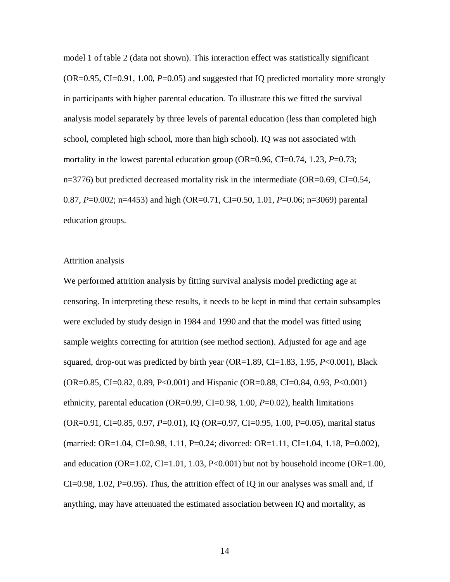model 1 of table 2 (data not shown). This interaction effect was statistically significant (OR=0.95, CI=0.91, 1.00, *P*=0.05) and suggested that IQ predicted mortality more strongly in participants with higher parental education. To illustrate this we fitted the survival analysis model separately by three levels of parental education (less than completed high school, completed high school, more than high school). IQ was not associated with mortality in the lowest parental education group (OR=0.96, CI=0.74, 1.23, P=0.73; n=3776) but predicted decreased mortality risk in the intermediate (OR=0.69, CI=0.54, 0.87, *P*=0.002; n=4453) and high (OR=0.71, CI=0.50, 1.01, *P*=0.06; n=3069) parental education groups.

#### Attrition analysis

We performed attrition analysis by fitting survival analysis model predicting age at censoring. In interpreting these results, it needs to be kept in mind that certain subsamples were excluded by study design in 1984 and 1990 and that the model was fitted using sample weights correcting for attrition (see method section). Adjusted for age and age squared, drop-out was predicted by birth year (OR=1.89, CI=1.83, 1.95, *P*<0.001), Black (OR=0.85, CI=0.82, 0.89, P<0.001) and Hispanic (OR=0.88, CI=0.84, 0.93, *P*<0.001) ethnicity, parental education (OR=0.99, CI=0.98, 1.00, *P*=0.02), health limitations (OR=0.91, CI=0.85, 0.97, *P*=0.01), IQ (OR=0.97, CI=0.95, 1.00, P=0.05), marital status (married: OR=1.04, CI=0.98, 1.11, P=0.24; divorced: OR=1.11, CI=1.04, 1.18, P=0.002), and education (OR=1.02, CI=1.01, 1.03, P<0.001) but not by household income (OR=1.00, CI=0.98, 1.02, P=0.95). Thus, the attrition effect of IQ in our analyses was small and, if anything, may have attenuated the estimated association between IQ and mortality, as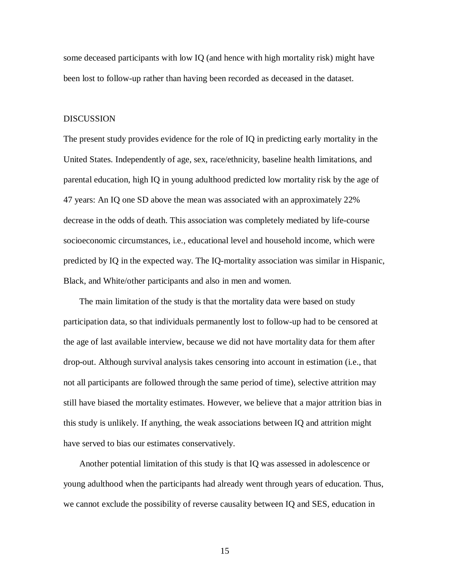some deceased participants with low IQ (and hence with high mortality risk) might have been lost to follow-up rather than having been recorded as deceased in the dataset.

#### DISCUSSION

The present study provides evidence for the role of IQ in predicting early mortality in the United States. Independently of age, sex, race/ethnicity, baseline health limitations, and parental education, high IQ in young adulthood predicted low mortality risk by the age of 47 years: An IQ one SD above the mean was associated with an approximately 22% decrease in the odds of death. This association was completely mediated by life-course socioeconomic circumstances, i.e., educational level and household income, which were predicted by IQ in the expected way. The IQ-mortality association was similar in Hispanic, Black, and White/other participants and also in men and women.

 The main limitation of the study is that the mortality data were based on study participation data, so that individuals permanently lost to follow-up had to be censored at the age of last available interview, because we did not have mortality data for them after drop-out. Although survival analysis takes censoring into account in estimation (i.e., that not all participants are followed through the same period of time), selective attrition may still have biased the mortality estimates. However, we believe that a major attrition bias in this study is unlikely. If anything, the weak associations between IQ and attrition might have served to bias our estimates conservatively.

Another potential limitation of this study is that IQ was assessed in adolescence or young adulthood when the participants had already went through years of education. Thus, we cannot exclude the possibility of reverse causality between IQ and SES, education in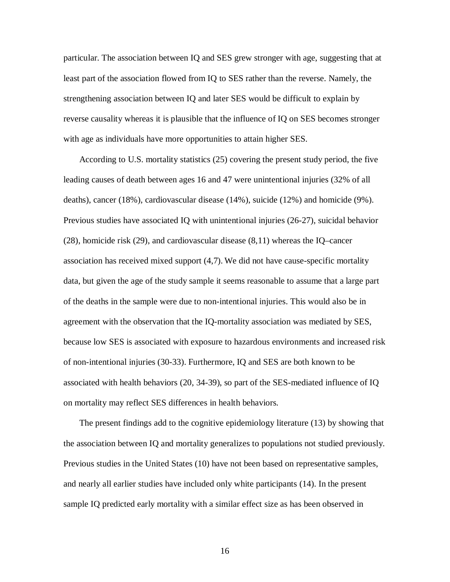particular. The association between IQ and SES grew stronger with age, suggesting that at least part of the association flowed from IQ to SES rather than the reverse. Namely, the strengthening association between IQ and later SES would be difficult to explain by reverse causality whereas it is plausible that the influence of IQ on SES becomes stronger with age as individuals have more opportunities to attain higher SES.

According to U.S. mortality statistics (25) covering the present study period, the five leading causes of death between ages 16 and 47 were unintentional injuries (32% of all deaths), cancer (18%), cardiovascular disease (14%), suicide (12%) and homicide (9%). Previous studies have associated IQ with unintentional injuries (26-27), suicidal behavior (28), homicide risk (29), and cardiovascular disease (8,11) whereas the IQ–cancer association has received mixed support (4,7). We did not have cause-specific mortality data, but given the age of the study sample it seems reasonable to assume that a large part of the deaths in the sample were due to non-intentional injuries. This would also be in agreement with the observation that the IQ-mortality association was mediated by SES, because low SES is associated with exposure to hazardous environments and increased risk of non-intentional injuries (30-33). Furthermore, IQ and SES are both known to be associated with health behaviors (20, 34-39), so part of the SES-mediated influence of IQ on mortality may reflect SES differences in health behaviors.

The present findings add to the cognitive epidemiology literature (13) by showing that the association between IQ and mortality generalizes to populations not studied previously. Previous studies in the United States (10) have not been based on representative samples, and nearly all earlier studies have included only white participants (14). In the present sample IQ predicted early mortality with a similar effect size as has been observed in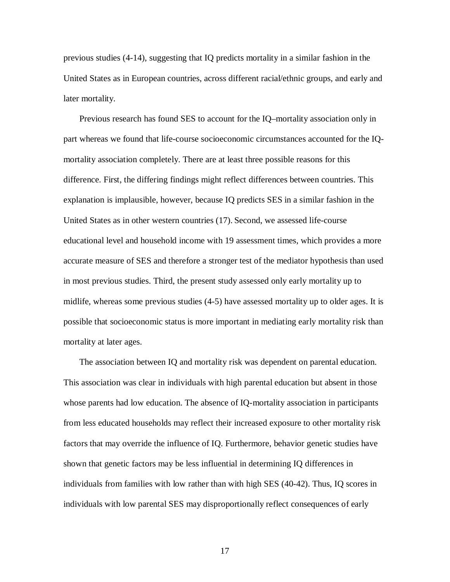previous studies (4-14), suggesting that IQ predicts mortality in a similar fashion in the United States as in European countries, across different racial/ethnic groups, and early and later mortality.

Previous research has found SES to account for the IQ–mortality association only in part whereas we found that life-course socioeconomic circumstances accounted for the IQmortality association completely. There are at least three possible reasons for this difference. First, the differing findings might reflect differences between countries. This explanation is implausible, however, because IQ predicts SES in a similar fashion in the United States as in other western countries (17). Second, we assessed life-course educational level and household income with 19 assessment times, which provides a more accurate measure of SES and therefore a stronger test of the mediator hypothesis than used in most previous studies. Third, the present study assessed only early mortality up to midlife, whereas some previous studies (4-5) have assessed mortality up to older ages. It is possible that socioeconomic status is more important in mediating early mortality risk than mortality at later ages.

The association between IQ and mortality risk was dependent on parental education. This association was clear in individuals with high parental education but absent in those whose parents had low education. The absence of IQ-mortality association in participants from less educated households may reflect their increased exposure to other mortality risk factors that may override the influence of IQ. Furthermore, behavior genetic studies have shown that genetic factors may be less influential in determining IQ differences in individuals from families with low rather than with high SES (40-42). Thus, IQ scores in individuals with low parental SES may disproportionally reflect consequences of early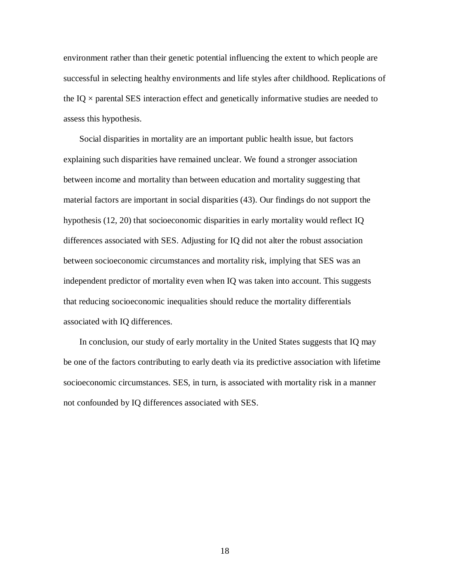environment rather than their genetic potential influencing the extent to which people are successful in selecting healthy environments and life styles after childhood. Replications of the IQ  $\times$  parental SES interaction effect and genetically informative studies are needed to assess this hypothesis.

Social disparities in mortality are an important public health issue, but factors explaining such disparities have remained unclear. We found a stronger association between income and mortality than between education and mortality suggesting that material factors are important in social disparities (43). Our findings do not support the hypothesis (12, 20) that socioeconomic disparities in early mortality would reflect IQ differences associated with SES. Adjusting for IQ did not alter the robust association between socioeconomic circumstances and mortality risk, implying that SES was an independent predictor of mortality even when IQ was taken into account. This suggests that reducing socioeconomic inequalities should reduce the mortality differentials associated with IQ differences.

In conclusion, our study of early mortality in the United States suggests that IQ may be one of the factors contributing to early death via its predictive association with lifetime socioeconomic circumstances. SES, in turn, is associated with mortality risk in a manner not confounded by IQ differences associated with SES.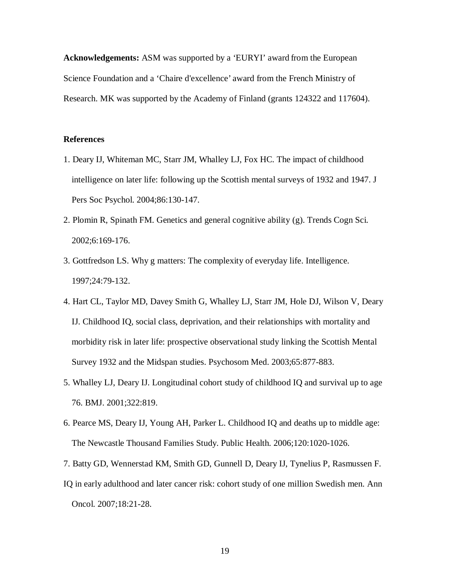**Acknowledgements:** ASM was supported by a 'EURYI' award from the European Science Foundation and a 'Chaire d'excellence' award from the French Ministry of Research. MK was supported by the Academy of Finland (grants 124322 and 117604).

#### **References**

- 1. Deary IJ, Whiteman MC, Starr JM, Whalley LJ, Fox HC. The impact of childhood intelligence on later life: following up the Scottish mental surveys of 1932 and 1947. J Pers Soc Psychol. 2004;86:130-147.
- 2. Plomin R, Spinath FM. Genetics and general cognitive ability (g). Trends Cogn Sci. 2002;6:169-176.
- 3. Gottfredson LS. Why g matters: The complexity of everyday life. Intelligence. 1997;24:79-132.
- 4. Hart CL, Taylor MD, Davey Smith G, Whalley LJ, Starr JM, Hole DJ, Wilson V, Deary IJ. Childhood IQ, social class, deprivation, and their relationships with mortality and morbidity risk in later life: prospective observational study linking the Scottish Mental Survey 1932 and the Midspan studies. Psychosom Med. 2003;65:877-883.
- 5. Whalley LJ, Deary IJ. Longitudinal cohort study of childhood IQ and survival up to age 76. BMJ. 2001;322:819.
- 6. Pearce MS, Deary IJ, Young AH, Parker L. Childhood IQ and deaths up to middle age: The Newcastle Thousand Families Study. Public Health. 2006;120:1020-1026.
- 7. Batty GD, Wennerstad KM, Smith GD, Gunnell D, Deary IJ, Tynelius P, Rasmussen F.
- IQ in early adulthood and later cancer risk: cohort study of one million Swedish men. Ann Oncol. 2007;18:21-28.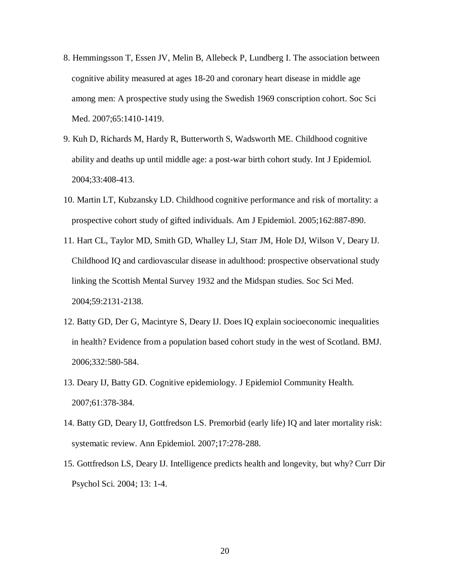- 8. Hemmingsson T, Essen JV, Melin B, Allebeck P, Lundberg I. The association between cognitive ability measured at ages 18-20 and coronary heart disease in middle age among men: A prospective study using the Swedish 1969 conscription cohort. Soc Sci Med. 2007;65:1410-1419.
- 9. Kuh D, Richards M, Hardy R, Butterworth S, Wadsworth ME. Childhood cognitive ability and deaths up until middle age: a post-war birth cohort study. Int J Epidemiol. 2004;33:408-413.
- 10. Martin LT, Kubzansky LD. Childhood cognitive performance and risk of mortality: a prospective cohort study of gifted individuals. Am J Epidemiol. 2005;162:887-890.
- 11. Hart CL, Taylor MD, Smith GD, Whalley LJ, Starr JM, Hole DJ, Wilson V, Deary IJ. Childhood IQ and cardiovascular disease in adulthood: prospective observational study linking the Scottish Mental Survey 1932 and the Midspan studies. Soc Sci Med. 2004;59:2131-2138.
- 12. Batty GD, Der G, Macintyre S, Deary IJ. Does IQ explain socioeconomic inequalities in health? Evidence from a population based cohort study in the west of Scotland. BMJ. 2006;332:580-584.
- 13. Deary IJ, Batty GD. Cognitive epidemiology. J Epidemiol Community Health. 2007;61:378-384.
- 14. Batty GD, Deary IJ, Gottfredson LS. Premorbid (early life) IQ and later mortality risk: systematic review. Ann Epidemiol. 2007;17:278-288.
- 15. Gottfredson LS, Deary IJ. Intelligence predicts health and longevity, but why? Curr Dir Psychol Sci. 2004; 13: 1-4.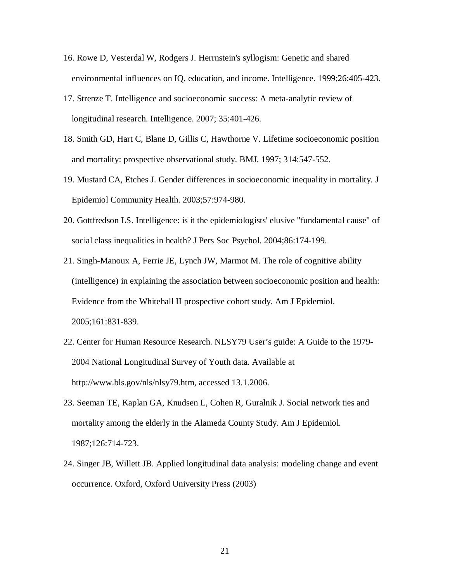- 16. Rowe D, Vesterdal W, Rodgers J. Herrnstein's syllogism: Genetic and shared environmental influences on IQ, education, and income. Intelligence. 1999;26:405-423.
- 17. Strenze T. Intelligence and socioeconomic success: A meta-analytic review of longitudinal research. Intelligence. 2007; 35:401-426.
- 18. Smith GD, Hart C, Blane D, Gillis C, Hawthorne V. Lifetime socioeconomic position and mortality: prospective observational study. BMJ. 1997; 314:547-552.
- 19. Mustard CA, Etches J. Gender differences in socioeconomic inequality in mortality. J Epidemiol Community Health. 2003;57:974-980.
- 20. Gottfredson LS. Intelligence: is it the epidemiologists' elusive "fundamental cause" of social class inequalities in health? J Pers Soc Psychol. 2004;86:174-199.
- 21. Singh-Manoux A, Ferrie JE, Lynch JW, Marmot M. The role of cognitive ability (intelligence) in explaining the association between socioeconomic position and health: Evidence from the Whitehall II prospective cohort study. Am J Epidemiol. 2005;161:831-839.
- 22. Center for Human Resource Research. NLSY79 User's guide: A Guide to the 1979- 2004 National Longitudinal Survey of Youth data. Available at <http://www.bls.gov/nls/nlsy79.htm>, accessed 13.1.2006.
- 23. Seeman TE, Kaplan GA, Knudsen L, Cohen R, Guralnik J. Social network ties and mortality among the elderly in the Alameda County Study. Am J Epidemiol. 1987;126:714-723.
- 24. Singer JB, Willett JB. Applied longitudinal data analysis: modeling change and event occurrence. Oxford, Oxford University Press (2003)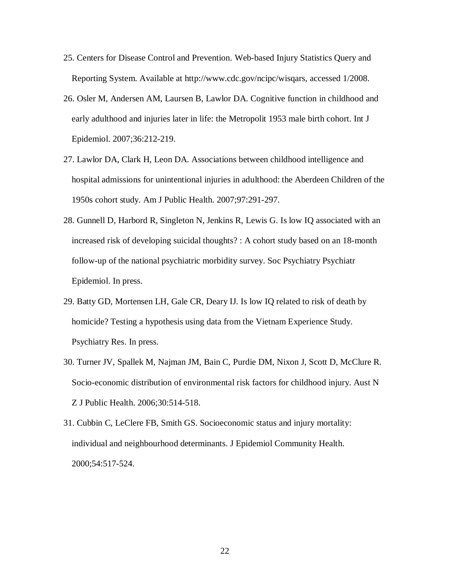- 25. Centers for Disease Control and Prevention. Web-based Injury Statistics Query and Reporting System. Available at [http://www.cdc.gov/ncipc/wisqars,](http://www.cdc.gov/ncipc/wisqars) accessed 1/2008.
- 26. Osler M, Andersen AM, Laursen B, Lawlor DA. Cognitive function in childhood and early adulthood and injuries later in life: the Metropolit 1953 male birth cohort. Int J Epidemiol. 2007;36:212-219.
- 27. Lawlor DA, Clark H, Leon DA. Associations between childhood intelligence and hospital admissions for unintentional injuries in adulthood: the Aberdeen Children of the 1950s cohort study. Am J Public Health. 2007;97:291-297.
- 28. Gunnell D, Harbord R, Singleton N, Jenkins R, Lewis G. Is low IQ associated with an increased risk of developing suicidal thoughts? : A cohort study based on an 18-month follow-up of the national psychiatric morbidity survey. Soc Psychiatry Psychiatr Epidemiol. In press.
- 29. Batty GD, Mortensen LH, Gale CR, Deary IJ. Is low IQ related to risk of death by homicide? Testing a hypothesis using data from the Vietnam Experience Study. Psychiatry Res. In press.
- 30. Turner JV, Spallek M, Najman JM, Bain C, Purdie DM, Nixon J, Scott D, McClure R. Socio-economic distribution of environmental risk factors for childhood injury. Aust N Z J Public Health. 2006;30:514-518.
- 31. Cubbin C, LeClere FB, Smith GS. Socioeconomic status and injury mortality: individual and neighbourhood determinants. J Epidemiol Community Health. 2000;54:517-524.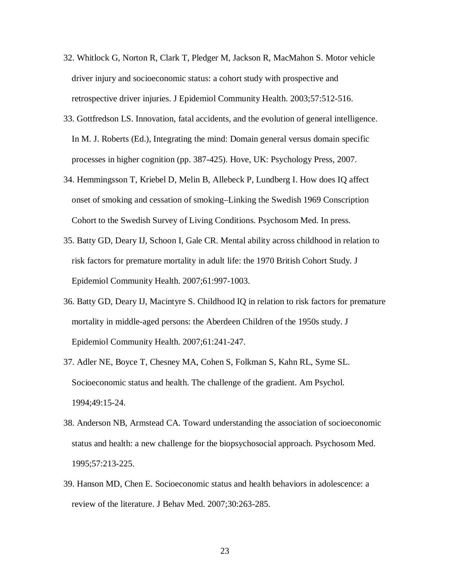- 32. Whitlock G, Norton R, Clark T, Pledger M, Jackson R, MacMahon S. Motor vehicle driver injury and socioeconomic status: a cohort study with prospective and retrospective driver injuries. J Epidemiol Community Health. 2003;57:512-516.
- 33. Gottfredson LS. Innovation, fatal accidents, and the evolution of general intelligence. In M. J. Roberts (Ed.), Integrating the mind: Domain general versus domain specific processes in higher cognition (pp. 387-425). Hove, UK: Psychology Press, 2007.
- 34. Hemmingsson T, Kriebel D, Melin B, Allebeck P, Lundberg I. How does IQ affect onset of smoking and cessation of smoking–Linking the Swedish 1969 Conscription Cohort to the Swedish Survey of Living Conditions. Psychosom Med. In press.
- 35. Batty GD, Deary IJ, Schoon I, Gale CR. Mental ability across childhood in relation to risk factors for premature mortality in adult life: the 1970 British Cohort Study. J Epidemiol Community Health. 2007;61:997-1003.
- 36. Batty GD, Deary IJ, Macintyre S. Childhood IQ in relation to risk factors for premature mortality in middle-aged persons: the Aberdeen Children of the 1950s study. J Epidemiol Community Health. 2007;61:241-247.
- 37. Adler NE, Boyce T, Chesney MA, Cohen S, Folkman S, Kahn RL, Syme SL. Socioeconomic status and health. The challenge of the gradient. Am Psychol. 1994;49:15-24.
- 38. Anderson NB, Armstead CA. Toward understanding the association of socioeconomic status and health: a new challenge for the biopsychosocial approach. Psychosom Med. 1995;57:213-225.
- 39. Hanson MD, Chen E. Socioeconomic status and health behaviors in adolescence: a review of the literature. J Behav Med. 2007;30:263-285.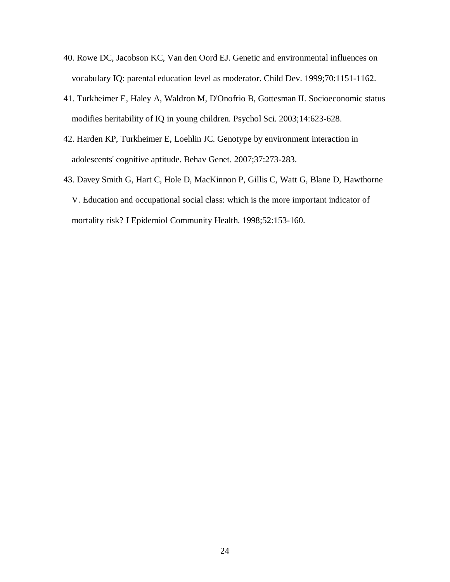- 40. Rowe DC, Jacobson KC, Van den Oord EJ. Genetic and environmental influences on vocabulary IQ: parental education level as moderator. Child Dev. 1999;70:1151-1162.
- 41. Turkheimer E, Haley A, Waldron M, D'Onofrio B, Gottesman II. Socioeconomic status modifies heritability of IQ in young children. Psychol Sci. 2003;14:623-628.
- 42. Harden KP, Turkheimer E, Loehlin JC. Genotype by environment interaction in adolescents' cognitive aptitude. Behav Genet. 2007;37:273-283.
- 43. Davey Smith G, Hart C, Hole D, MacKinnon P, Gillis C, Watt G, Blane D, Hawthorne V. Education and occupational social class: which is the more important indicator of mortality risk? J Epidemiol Community Health. 1998;52:153-160.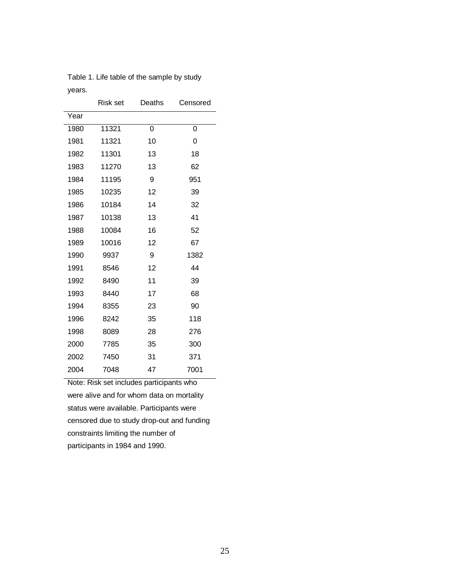|      | <b>Risk set</b> | Deaths | Censored |
|------|-----------------|--------|----------|
| Year |                 |        |          |
| 1980 | 11321           | 0      | 0        |
| 1981 | 11321           | 10     | 0        |
| 1982 | 11301           | 13     | 18       |
| 1983 | 11270           | 13     | 62       |
| 1984 | 11195           | 9      | 951      |
| 1985 | 10235           | 12     | 39       |
| 1986 | 10184           | 14     | 32       |
| 1987 | 10138           | 13     | 41       |
| 1988 | 10084           | 16     | 52       |
| 1989 | 10016           | 12     | 67       |
| 1990 | 9937            | 9      | 1382     |
| 1991 | 8546            | 12     | 44       |
| 1992 | 8490            | 11     | 39       |
| 1993 | 8440            | 17     | 68       |
| 1994 | 8355            | 23     | 90       |
| 1996 | 8242            | 35     | 118      |
| 1998 | 8089            | 28     | 276      |
| 2000 | 7785            | 35     | 300      |
| 2002 | 7450            | 31     | 371      |
| 2004 | 7048            | 47     | 7001     |

Table 1. Life table of the sample by study years.

Note: Risk set includes participants who were alive and for whom data on mortality status were available. Participants were censored due to study drop-out and funding constraints limiting the number of participants in 1984 and 1990.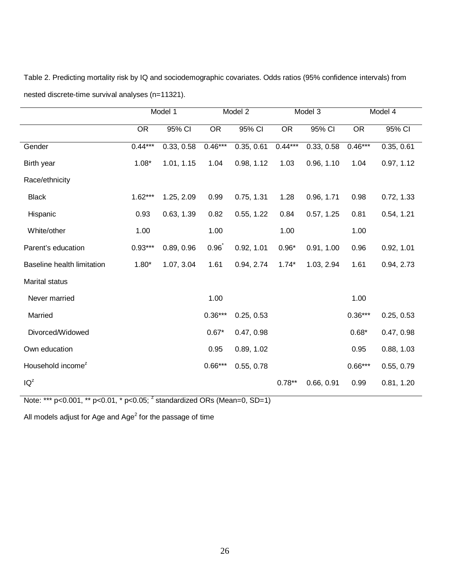Table 2. Predicting mortality risk by IQ and sociodemographic covariates. Odds ratios (95% confidence intervals) from nested discrete-time survival analyses (n=11321).

|                               | Model 1   |            | Model 2         |            | Model 3         |            | Model 4   |            |
|-------------------------------|-----------|------------|-----------------|------------|-----------------|------------|-----------|------------|
|                               | <b>OR</b> | 95% CI     | $\overline{OR}$ | 95% CI     | $\overline{OR}$ | 95% CI     | <b>OR</b> | 95% CI     |
| Gender                        | $0.44***$ | 0.33, 0.58 | $0.46***$       | 0.35, 0.61 | $0.44***$       | 0.33, 0.58 | $0.46***$ | 0.35, 0.61 |
| Birth year                    | $1.08*$   | 1.01, 1.15 | 1.04            | 0.98, 1.12 | 1.03            | 0.96, 1.10 | 1.04      | 0.97, 1.12 |
| Race/ethnicity                |           |            |                 |            |                 |            |           |            |
| <b>Black</b>                  | $1.62***$ | 1.25, 2.09 | 0.99            | 0.75, 1.31 | 1.28            | 0.96, 1.71 | 0.98      | 0.72, 1.33 |
| Hispanic                      | 0.93      | 0.63, 1.39 | 0.82            | 0.55, 1.22 | 0.84            | 0.57, 1.25 | 0.81      | 0.54, 1.21 |
| White/other                   | 1.00      |            | 1.00            |            | 1.00            |            | 1.00      |            |
| Parent's education            | $0.93***$ | 0.89, 0.96 | 0.96            | 0.92, 1.01 | $0.96*$         | 0.91, 1.00 | 0.96      | 0.92, 1.01 |
| Baseline health limitation    | $1.80*$   | 1.07, 3.04 | 1.61            | 0.94, 2.74 | $1.74*$         | 1.03, 2.94 | 1.61      | 0.94, 2.73 |
| <b>Marital status</b>         |           |            |                 |            |                 |            |           |            |
| Never married                 |           |            | 1.00            |            |                 |            | 1.00      |            |
| Married                       |           |            | $0.36***$       | 0.25, 0.53 |                 |            | $0.36***$ | 0.25, 0.53 |
| Divorced/Widowed              |           |            | $0.67*$         | 0.47, 0.98 |                 |            | $0.68*$   | 0.47, 0.98 |
| Own education                 |           |            | 0.95            | 0.89, 1.02 |                 |            | 0.95      | 0.88, 1.03 |
| Household income <sup>z</sup> |           |            | $0.66***$       | 0.55, 0.78 |                 |            | $0.66***$ | 0.55, 0.79 |
| IQ <sup>z</sup>               |           |            |                 |            | $0.78**$        | 0.66, 0.91 | 0.99      | 0.81, 1.20 |

Note: \*\*\* p<0.001, \*\* p<0.01, \* p<0.05;  $^2$  standardized ORs (Mean=0, SD=1)

All models adjust for Age and Age $^2$  for the passage of time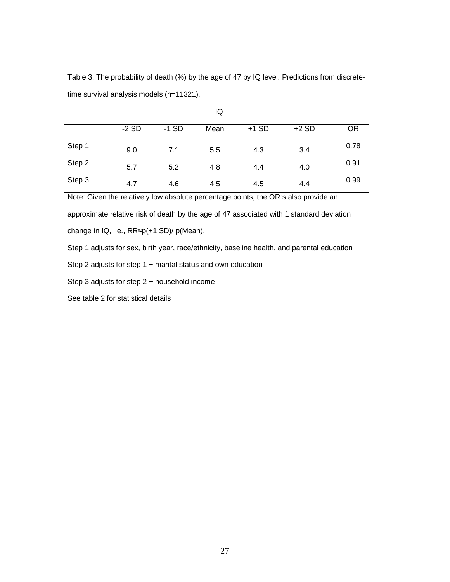|        |         |         | IQ   |         |         |           |
|--------|---------|---------|------|---------|---------|-----------|
|        | $-2$ SD | $-1$ SD | Mean | $+1$ SD | $+2$ SD | <b>OR</b> |
| Step 1 | 9.0     | 7.1     | 5.5  | 4.3     | 3.4     | 0.78      |
| Step 2 | 5.7     | 5.2     | 4.8  | 4.4     | 4.0     | 0.91      |
| Step 3 | 4.7     | 4.6     | 4.5  | 4.5     | 4.4     | 0.99      |

Table 3. The probability of death (%) by the age of 47 by IQ level. Predictions from discretetime survival analysis models (n=11321).

Note: Given the relatively low absolute percentage points, the OR:s also provide an

approximate relative risk of death by the age of 47 associated with 1 standard deviation

change in IQ, i.e.,  $RR \approx p(+1 SD) / p(Mean)$ .

Step 1 adjusts for sex, birth year, race/ethnicity, baseline health, and parental education

Step 2 adjusts for step 1 + marital status and own education

Step 3 adjusts for step 2 + household income

See table 2 for statistical details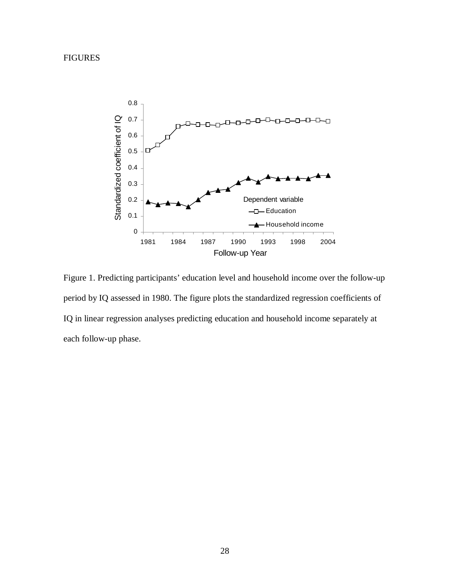FIGURES



Figure 1. Predicting participants' education level and household income over the follow-up period by IQ assessed in 1980. The figure plots the standardized regression coefficients of IQ in linear regression analyses predicting education and household income separately at each follow-up phase.